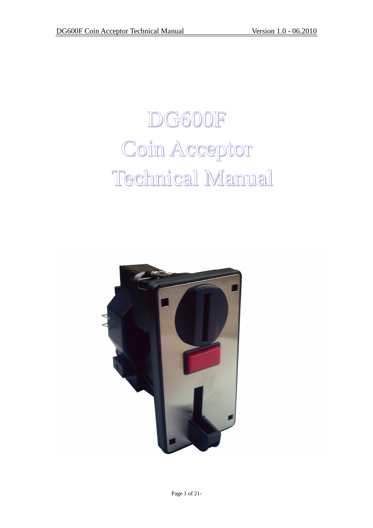# DG600F Coin Acceptor Technical Manual

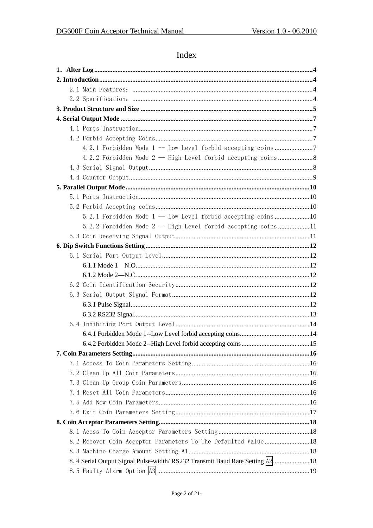# Index

| $5.2.1$ Forbidden Mode $1 -$ Low Level forbid accepting coins10                |  |
|--------------------------------------------------------------------------------|--|
| 5.2.2 Forbidden Mode $2$ - High Level forbid accepting coins11                 |  |
|                                                                                |  |
|                                                                                |  |
|                                                                                |  |
|                                                                                |  |
|                                                                                |  |
|                                                                                |  |
|                                                                                |  |
|                                                                                |  |
|                                                                                |  |
|                                                                                |  |
|                                                                                |  |
|                                                                                |  |
|                                                                                |  |
|                                                                                |  |
|                                                                                |  |
|                                                                                |  |
|                                                                                |  |
|                                                                                |  |
|                                                                                |  |
|                                                                                |  |
|                                                                                |  |
| 8.2 Recover Coin Acceptor Parameters To The Defaulted Value 18                 |  |
|                                                                                |  |
| 8. 4 Serial Output Signal Pulse-width/RS232 Transmit Baud Rate Setting  42  18 |  |
|                                                                                |  |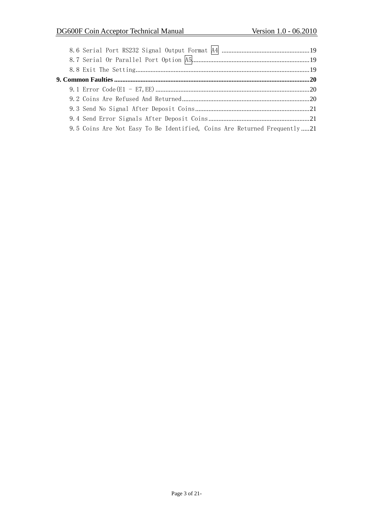| 9.5 Coins Are Not Easy To Be Identified, Coins Are Returned Frequently21 |  |
|--------------------------------------------------------------------------|--|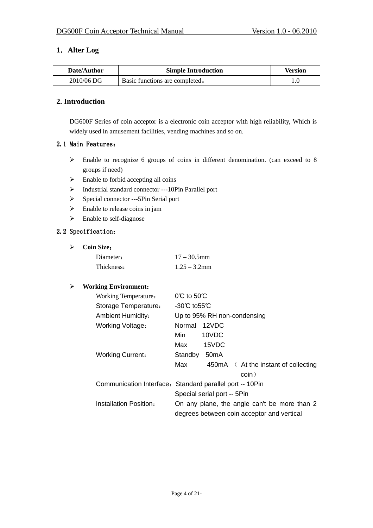# **1**.**Alter Log**

| Date/Author | <b>Simple Introduction</b>     | Version |
|-------------|--------------------------------|---------|
| 2010/06 DG  | Basic functions are completed. |         |

# **2. Introduction**

DG600F Series of coin acceptor is a electronic coin acceptor with high reliability, Which is widely used in amusement facilities, vending machines and so on.

## 2.1 Main Features:

- Enable to recognize 6 groups of coins in different denomination. (can exceed to 8 groups if need)
- $\triangleright$  Enable to forbid accepting all coins
- Industrial standard connector ---10Pin Parallel port
- > Special connector ---5Pin Serial port
- $\triangleright$  Enable to release coins in jam
- $\triangleright$  Enable to self-diagnose

# 2.2 Specification:

## **Coin Size**:

| Diameter:  | $17 - 30.5$ mm  |
|------------|-----------------|
| Thickness: | $1.25 - 3.2$ mm |

## **Working Environment**:

| Working Temperature:     |         |                   |                                                                                                                                                                                                        |
|--------------------------|---------|-------------------|--------------------------------------------------------------------------------------------------------------------------------------------------------------------------------------------------------|
| Storage Temperature:     |         |                   |                                                                                                                                                                                                        |
| <b>Ambient Humidity:</b> |         |                   |                                                                                                                                                                                                        |
| Working Voltage:         | Normal  |                   |                                                                                                                                                                                                        |
|                          | Min     |                   |                                                                                                                                                                                                        |
|                          | Max     | 15VDC             |                                                                                                                                                                                                        |
| <b>Working Current:</b>  | Standby | 50 <sub>m</sub> A |                                                                                                                                                                                                        |
|                          | Max     |                   | 450mA (At the instant of collecting<br>$\text{coin}$ )                                                                                                                                                 |
|                          |         |                   |                                                                                                                                                                                                        |
|                          |         |                   |                                                                                                                                                                                                        |
| Installation Position:   |         |                   | On any plane, the angle can't be more than 2<br>degrees between coin acceptor and vertical                                                                                                             |
|                          |         |                   | $0^\circ\text{C}$ to $50^\circ\text{C}$<br>$-30C$ to $55C$<br>Up to 95% RH non-condensing<br>12VDC<br>10VDC<br>Communication Interface: Standard parallel port -- 10Pin<br>Special serial port -- 5Pin |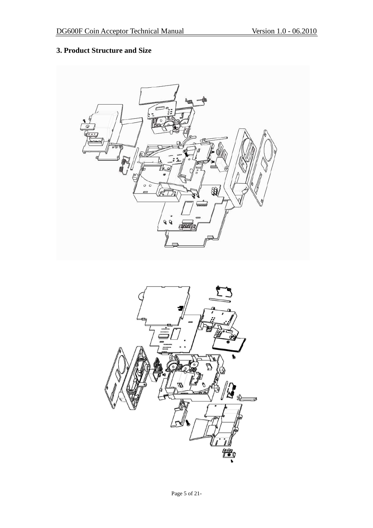# **3. Product Structure and Size**



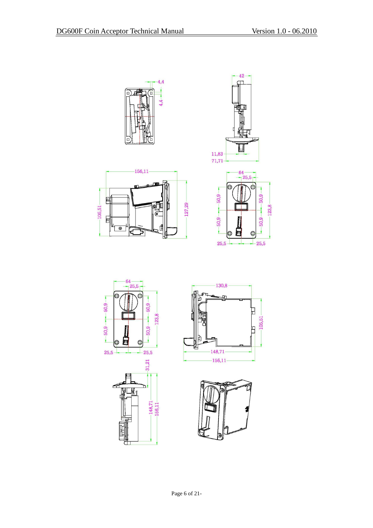











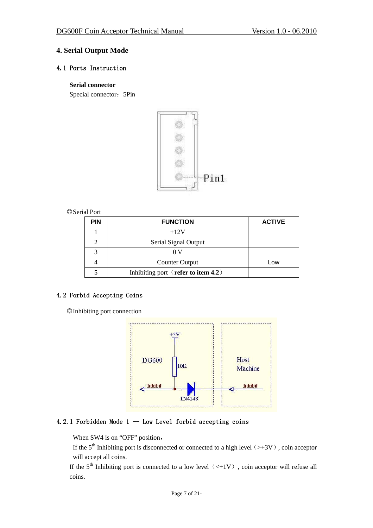# **4. Serial Output Mode**

# 4.1 Ports Instruction

## **Serial connector**

Special connector: 5Pin



## ◎Serial Port

| <b>PIN</b> | <b>FUNCTION</b>                        | <b>ACTIVE</b> |
|------------|----------------------------------------|---------------|
|            | $+12V$                                 |               |
| ◠          | Serial Signal Output                   |               |
| 3          | 0 V                                    |               |
|            | <b>Counter Output</b>                  | Low           |
|            | Inhibiting port (refer to item $4.2$ ) |               |

## 4.2 Forbid Accepting Coins

◎Inhibiting port connection



# 4.2.1 Forbidden Mode  $1$  -- Low Level forbid accepting coins

When SW4 is on "OFF" position,

If the  $5<sup>th</sup>$  Inhibiting port is disconnected or connected to a high level (>+3V), coin acceptor will accept all coins.

If the  $5<sup>th</sup>$  Inhibiting port is connected to a low level  $\left(\langle +1V \rangle \right)$ , coin acceptor will refuse all coins.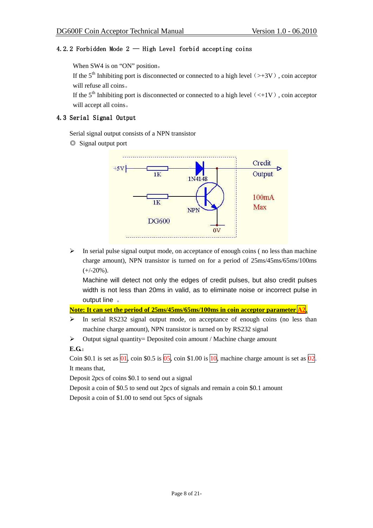## 4.2.2 Forbidden Mode  $2$  - High Level forbid accepting coins

When SW4 is on "ON" position,

If the 5<sup>th</sup> Inhibiting port is disconnected or connected to a high level  $(>+3V)$ , coin acceptor will refuse all coins。

If the 5<sup>th</sup> Inhibiting port is disconnected or connected to a high level  $(\langle +1V \rangle)$ , coin acceptor will accept all coins。

## 4.3 Serial Signal Output

Serial signal output consists of a NPN transistor

◎ Signal output port



 $\triangleright$  In serial pulse signal output mode, on acceptance of enough coins (no less than machine charge amount), NPN transistor is turned on for a period of 25ms/45ms/65ms/100ms  $(+/-20\%)$ .

Machine will detect not only the edges of credit pulses, but also credit pulses width is not less than 20ms in valid, as to eliminate noise or incorrect pulse in output line 。

## **Note: It can set the period of 25ms/45ms/65ms/100ms in coin acceptor parameter A2.**

 $\triangleright$  In serial RS232 signal output mode, on acceptance of enough coins (no less than machine charge amount), NPN transistor is turned on by RS232 signal

 $\triangleright$  Output signal quantity = Deposited coin amount / Machine charge amount

## **E.G.**:

Coin \$0.1 is set as  $\overline{01}$ , coin \$0.5 is  $\overline{05}$ , coin \$1.00 is  $\overline{10}$ , machine charge amount is set as  $\overline{02}$ . It means that,

Deposit 2pcs of coins \$0.1 to send out a signal

Deposit a coin of \$0.5 to send out 2pcs of signals and remain a coin \$0.1 amount Deposit a coin of \$1.00 to send out 5pcs of signals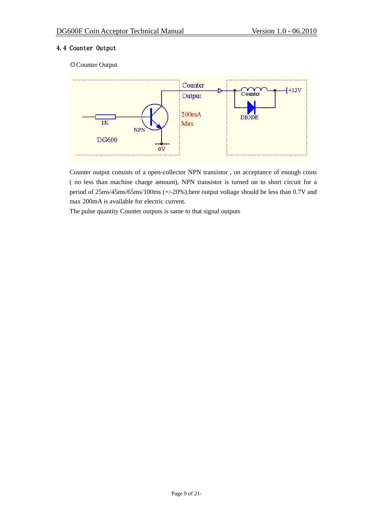## 4.4 Counter Output

◎Counter Output



Counter output consists of a open-collector NPN transistor , on acceptance of enough coins ( no less than machine charge amount), NPN transistor is turned on to short circuit for a period of 25ms/45ms/65ms/100ms (+/-20%).here output voltage should be less than 0.7V and max 200mA is available for electric current.

The pulse quantity Counter outputs is same to that signal outputs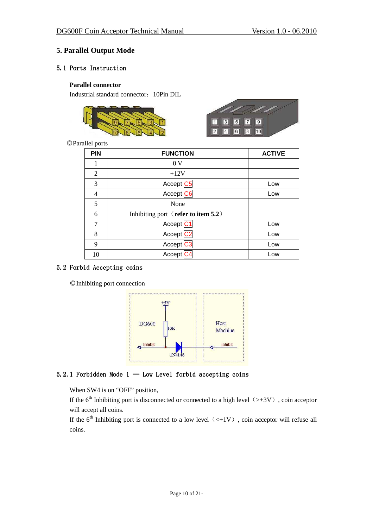# **5. Parallel Output Mode**

# 5.1 Ports Instruction

## **Parallel connector**

Industrial standard connector:10Pin DIL





## ◎Parallel ports

| <b>PIN</b>     | <b>FUNCTION</b>                        | <b>ACTIVE</b> |
|----------------|----------------------------------------|---------------|
| 1              | 0 <sub>V</sub>                         |               |
| $\overline{2}$ | $+12V$                                 |               |
| 3              | Accept <sub>C5</sub>                   | Low           |
| $\overline{4}$ | Accept C6                              | Low           |
| 5              | None                                   |               |
| 6              | Inhibiting port (refer to item $5.2$ ) |               |
| 7              | Accept <sub>C1</sub>                   | Low           |
| 8              | Accept C <sub>2</sub>                  | Low           |
| 9              | Accept C3                              | Low           |
| 10             | Accept                                 | Low           |

## 5.2 Forbid Accepting coins

◎Inhibiting port connection



# 5.2.1 Forbidden Mode  $1$  - Low Level forbid accepting coins

When SW4 is on "OFF" position,

If the  $6<sup>th</sup>$  Inhibiting port is disconnected or connected to a high level (>+3V), coin acceptor will accept all coins.

If the  $6<sup>th</sup>$  Inhibiting port is connected to a low level  $\left(\langle +1 \nabla \right)$ , coin acceptor will refuse all coins.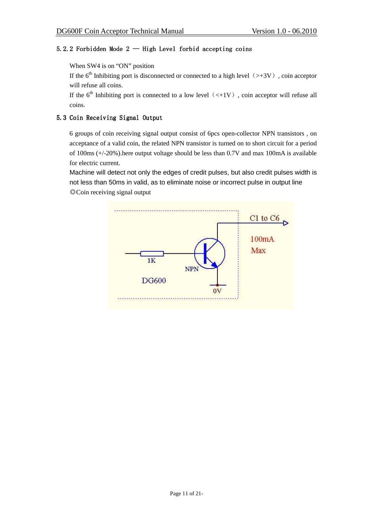# 5.2.2 Forbidden Mode  $2$  - High Level forbid accepting coins

When SW4 is on "ON" position

If the  $6<sup>th</sup>$  Inhibiting port is disconnected or connected to a high level (>+3V), coin acceptor will refuse all coins.

If the  $6<sup>th</sup>$  Inhibiting port is connected to a low level  $\left(\langle +1V \rangle \right)$ , coin acceptor will refuse all coins.

# 5.3 Coin Receiving Signal Output

6 groups of coin receiving signal output consist of 6pcs open-collector NPN transistors , on acceptance of a valid coin, the related NPN transistor is turned on to short circuit for a period of 100ms (+/-20%).here output voltage should be less than 0.7V and max 100mA is available for electric current.

Machine will detect not only the edges of credit pulses, but also credit pulses width is not less than 50ms in valid, as to eliminate noise or incorrect pulse in output line ◎Coin receiving signal output

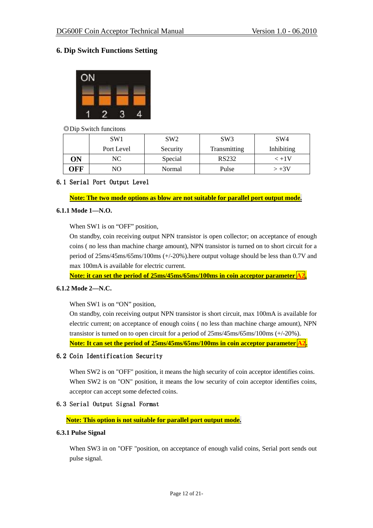# **6. Dip Switch Functions Setting**



## ◎Dip Switch funcitons

|     | SW <sub>1</sub> | SW2      | SW <sub>3</sub> | SW <sub>4</sub>    |
|-----|-----------------|----------|-----------------|--------------------|
|     | Port Level      | Security | Transmitting    | Inhibiting         |
| ON  | NC              | Special  | RS232           | $< +1\,\mathrm{V}$ |
| ЭFF | NO              | Normal   | Pulse           | $>+3V$             |

## 6.1 Serial Port Output Level

**Note: The two mode options as blow are not suitable for parallel port output mode.**

## **6.1.1 Mode 1—N.O.**

When SW1 is on "OFF" position,

On standby, coin receiving output NPN transistor is open collector; on acceptance of enough coins ( no less than machine charge amount), NPN transistor is turned on to short circuit for a period of 25ms/45ms/65ms/100ms (+/-20%).here output voltage should be less than 0.7V and max 100mA is available for electric current.

**Note: it can set the period of 25ms/45ms/65ms/100ms in coin acceptor parameter** 

## **6.1.2 Mode 2—N.C.**

When SW1 is on "ON" position.

On standby, coin receiving output NPN transistor is short circuit, max 100mA is available for electric current; on acceptance of enough coins ( no less than machine charge amount), NPN transistor is turned on to open circuit for a period of 25ms/45ms/65ms/100ms (+/-20%). **Note: It can set the period of 25ms/45ms/65ms/100ms in coin acceptor parameter A2.**

## 6.2 Coin Identification Security

When SW2 is on "OFF" position, it means the high security of coin acceptor identifies coins. When SW2 is on "ON" position, it means the low security of coin acceptor identifies coins, acceptor can accept some defected coins.

## 6.3 Serial Output Signal Format

**Note: This option is not suitable for parallel port output mode.**

## **6.3.1 Pulse Signal**

When SW3 in on "OFF "position, on acceptance of enough valid coins, Serial port sends out pulse signal.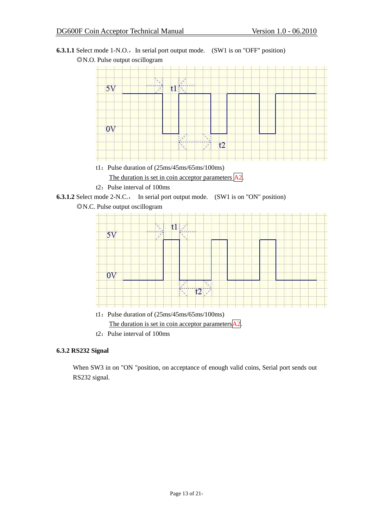**6.3.1.1** Select mode 1-N.O., In serial port output mode. (SW1 is on "OFF" position) ◎N.O. Pulse output oscillogram



- t1: Pulse duration of (25ms/45ms/65ms/100ms)
	- The duration is set in coin acceptor parameters A2.
- t2: Pulse interval of 100ms

**6.3.1.2** Select mode 2-N.C., In serial port output mode. (SW1 is on "ON" position)





t2: Pulse interval of  $100 \text{ms}$ 

## **6.3.2 RS232 Signal**

When SW3 in on "ON "position, on acceptance of enough valid coins, Serial port sends out RS232 signal.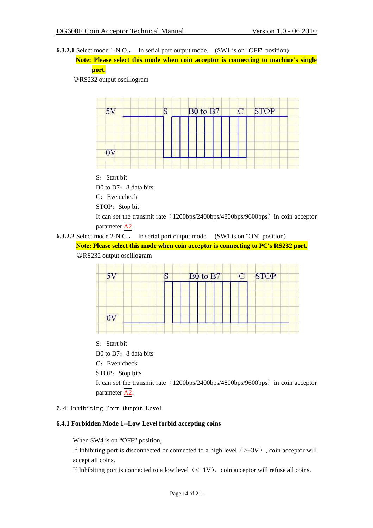**6.3.2.1** Select mode 1-N.O., In serial port output mode. (SW1 is on "OFF" position) **Note: Please select this mode when coin acceptor is connecting to machine's single** 

# **port.**

◎RS232 output oscillogram



S: Start bit

B0 to  $B7:8$  data bits

C: Even check

STOP: Stop bit

It can set the transmit rate  $(1200bps/2400bps/4800bps/9600bps)$  in coin acceptor parameter A2.

**6.3.2.2** Select mode 2-N.C., In serial port output mode. (SW1 is on "ON" position)

**Note: Please select this mode when coin acceptor is connecting to PC's RS232 port.**  ◎RS232 output oscillogram

| 517 | B0 to B7 | $\mathcal{C}$ | STOP |
|-----|----------|---------------|------|
|     |          |               |      |
|     |          |               |      |
| ov  |          |               |      |

## S: Start bit

B0 to B7: 8 data bits

C: Even check

STOP: Stop bits

It can set the transmit rate (1200bps/2400bps/4800bps/9600bps) in coin acceptor parameter A2.

## 6.4 Inhibiting Port Output Level

## **6.4.1 Forbidden Mode 1--Low Level forbid accepting coins**

When SW4 is on "OFF" position,

If Inhibiting port is disconnected or connected to a high level  $(\rightarrow +3V)$ , coin acceptor will accept all coins.

If Inhibiting port is connected to a low level  $(\langle +1V \rangle)$ , coin acceptor will refuse all coins.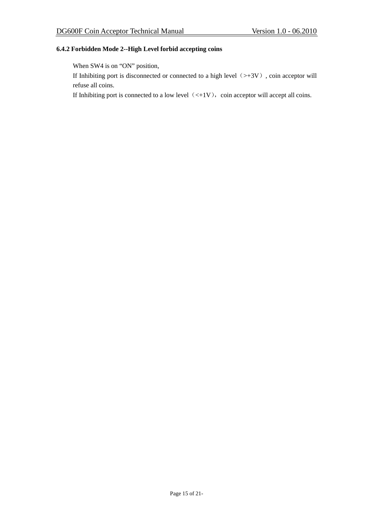# **6.4.2 Forbidden Mode 2--High Level forbid accepting coins**

When SW4 is on "ON" position,

If Inhibiting port is disconnected or connected to a high level  $(>+3V)$ , coin acceptor will refuse all coins.

If Inhibiting port is connected to a low level  $(\langle +1V \rangle)$ , coin acceptor will accept all coins.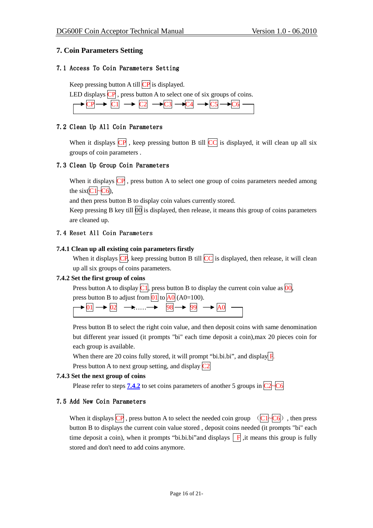## **7. Coin Parameters Setting**

## 7.1 Access To Coin Parameters Setting

Keep pressing button A till CP is displayed.

LED displays  $\overline{CP}$ , press button A to select one of six groups of coins.



## 7.2 Clean Up All Coin Parameters

When it displays  $\overline{CP}$ , keep pressing button B till  $\overline{CC}$  is displayed, it will clean up all six groups of coin parameters .

## 7.3 Clean Up Group Coin Parameters

When it displays  $\overline{CP}$ , press button A to select one group of coins parameters needed among the six $(\overline{C1} - \overline{C6})$ ,

and then press button B to display coin values currently stored.

Keep pressing B key till  $\overline{00}$  is displayed, then release, it means this group of coins parameters are cleaned up.

## 7.4 Reset All Coin Parameters

## **7.4.1 Clean up all existing coin parameters firstly**

When it displays  $\overline{CP}$ , keep pressing button B till  $\overline{CC}$  is displayed, then release, it will clean up all six groups of coins parameters.

## **7.4.2 Set the first group of coins**

Press button A to display  $\boxed{C1}$ , press button B to display the current coin value as  $\boxed{00}$ , press button B to adjust from  $\vert 01 \vert$  to  $\vert A0 \vert$  (A0=100).



Press button B to select the right coin value, and then deposit coins with same denomination but different year issued (it prompts "bi" each time deposit a coin),max 20 pieces coin for each group is available.

When there are 20 coins fully stored, it will prompt "bi.bi.bi", and display  $\vec{F}$ Press button A to next group setting, and display  $\overline{C2}$ 

## **7.4.3 Set the next group of coins**

Please refer to steps **7.4.2** to set coins parameters of another 5 groups in  $\overline{C2}$ -C6

## 7.5 Add New Coin Parameters

When it displays  $\overline{CP}$ , press button A to select the needed coin group  $(\overline{C1} \sim \overline{C6})$ , then press button B to displays the current coin value stored , deposit coins needed (it prompts "bi" each time deposit a coin), when it prompts "bi.bi.bi" and displays  $\boxed{F}$ , it means this group is fully stored and don't need to add coins anymore.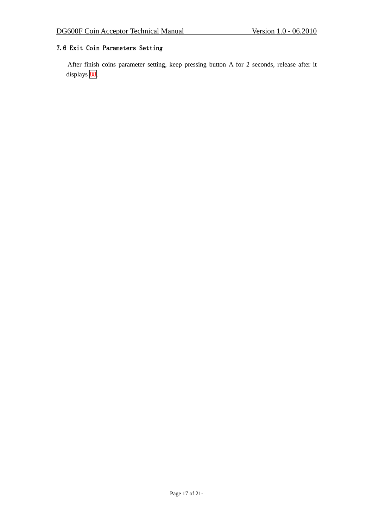## 7.6 Exit Coin Parameters Setting

After finish coins parameter setting, keep pressing button A for 2 seconds, release after it displays 88.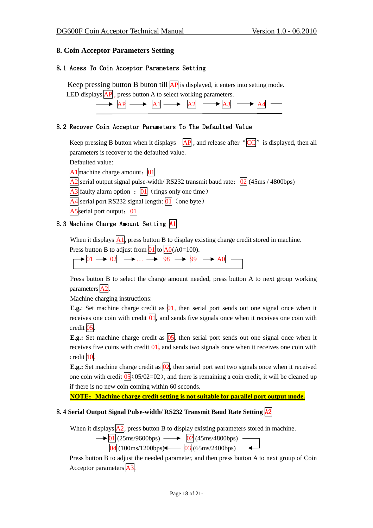## **8. Coin Acceptor Parameters Setting**

## 8.1 Acess To Coin Acceptor Parameters Setting

Keep pressing button B buton till  $AP$  is displayed, it enters into setting mode. LED displays  $\overline{AP}$ , press button A to select working parameters.



## 8.2 Recover Coin Acceptor Parameters To The Defaulted Value

Keep pressing B button when it displays  $\overline{AP}$ , and release after " $\overline{CC}$ " is displayed, then all parameters is recover to the defaulted value.

Defaulted value:

A1 machine charge amount:  $01$ 

 $\Delta$ 2 serial output signal pulse-width/ RS232 transmit baud rate:  $\sqrt{02}$  (45ms / 4800bps)

 $\overline{A3}$  faulty alarm option :  $\overline{01}$  (rings only one time)

 $\overline{A4}$  serial port RS232 signal length:  $\overline{01}$  (one byte)

A5serial port output:  $\overline{01}$ 

## 8.3 Machine Charge Amount Setting  $|A1|$

When it displays  $|A_1|$ , press button B to display existing charge credit stored in machine. Press button B to adjust from  $\boxed{01}$  to  $\boxed{AO}$  (A0=100).

| $\rightarrow 01 \rightarrow 02$ | $\rightarrow$ $\rightarrow$ | $98 \rightarrow$<br>99 | $\mathbf{w}$ $\rightarrow$ $\mathbf{w}$ |
|---------------------------------|-----------------------------|------------------------|-----------------------------------------|
|---------------------------------|-----------------------------|------------------------|-----------------------------------------|

Press button B to select the charge amount needed, press button A to next group working parameters A<sub>2</sub>.

Machine charging instructions:

**E.g.**: Set machine charge credit as  $\overline{01}$ , then serial port sends out one signal once when it receives one coin with credit 01**,** and sends five signals once when it receives one coin with credit 05.

**E.g.:** Set machine charge credit as  $\overline{05}$ , then serial port sends out one signal once when it receives five coins with credit 01**,** and sends two signals once when it receives one coin with credit 10.

**E.g.:** Set machine charge credit as  $\overline{02}$ , then serial port sent two signals once when it received one coin with credit  $\overline{05(05/02=02)}$ , and there is remaining a coin credit, it will be cleaned up if there is no new coin coming within 60 seconds.

**NOTE**:**Machine charge credit setting is not suitable for parallel port output mode.**

## 8.4 **Serial Output Signal Pulse-width/ RS232 Transmit Baud Rate Setting** A2

When it displays  $\boxed{A2}$ , press button B to display existing parameters stored in machine.

$$
\rightarrow \boxed{01} \boxed{(25 \text{ms}/9600 \text{bps}) \longrightarrow 02} \boxed{(45 \text{ms}/4800 \text{bps}) \longrightarrow 03} \boxed{(65 \text{ms}/2400 \text{bps}) \longrightarrow 03} \boxed{(65 \text{ms}/2400 \text{bps}) \longrightarrow 03} \boxed{(65 \text{ms}/2400 \text{bps}) \longrightarrow 03} \boxed{(65 \text{ms}/2400 \text{bps}) \longrightarrow 03} \boxed{(65 \text{ms}/2400 \text{bps}) \longrightarrow 03} \boxed{(65 \text{ms}/2400 \text{bps}) \longrightarrow (65 \text{ms}/2400 \text{bps}) \longrightarrow (65 \text{ms}/2400 \text{bps}) \longrightarrow (65 \text{ms}/2400 \text{bps}) \longrightarrow (65 \text{ms}/2400 \text{bps}) \longrightarrow (65 \text{ms}/2400 \text{bps}) \longrightarrow (65 \text{ms}/2400 \text{bps}) \longrightarrow (65 \text{ms}/2400 \text{bps}) \longrightarrow (65 \text{ms}/2400 \text{bps}) \longrightarrow (65 \text{ms}/2400 \text{bps}) \longrightarrow (65 \text{ms}/2400 \text{bps}) \longrightarrow (65 \text{ms}/2400 \text{bps}) \longrightarrow (65 \text{ms}/2400 \text{bps}) \longrightarrow (65 \text{ms}/2400 \text{bps}) \longrightarrow (65 \text{ms}/2400 \text{bps}) \longrightarrow (65 \text{ms}/2400 \text{bps}) \longrightarrow (65 \text{ms}/2400 \text{bps}) \longrightarrow (65 \text{ms}/2400 \text{bps}) \longrightarrow (65 \text{ms}/2400 \text{bps}) \longrightarrow (65 \text{ms}/2400 \text{bps}) \longrightarrow (65 \text{ms}/2400 \text{bps}) \longrightarrow (65 \text{ms}/2400 \text{bps}) \longrightarrow (65 \text{ms}/2400 \text{bps}) \longrightarrow (65 \text{ms}/2400 \text{bps}) \longrightarrow (65 \text{ms}/2400 \text{bps}) \longrightarrow (65 \text{ms}/2400 \text{bps}) \longrightarrow (65 \text{ms}/2400 \text{bps}) \longrightarrow (65 \text{ms}/2400 \text{bps}) \longrightarrow (65 \text{ms}/2400 \text{bps}) \longrightarrow (65 \text{ms}/2400 \text{bps}) \longrightarrow (65 \text
$$

Press button B to adjust the needed parameter, and then press button A to next group of Coin Acceptor parameters A3.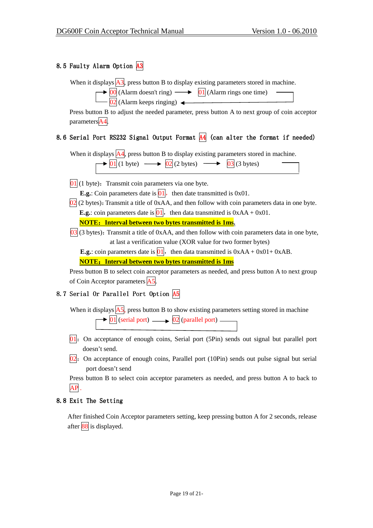| 8.5 Faulty Alarm Option A3                                                                                                                                                                                                                                                                                                     |
|--------------------------------------------------------------------------------------------------------------------------------------------------------------------------------------------------------------------------------------------------------------------------------------------------------------------------------|
| When it displays $\left 43\right $ , press button B to display existing parameters stored in machine.<br>$\underbrace{00}_{02}$ (Alarm doesn't ring) $\longrightarrow$ 01 (Alarm rings one time)<br>Press button B to adjust the needed parameter, press button A to next group of coin acceptor<br>parameters <sub>A4</sub> . |
| 8.6 Serial Port RS232 Signal Output Format  A4  (can alter the format if needed)                                                                                                                                                                                                                                               |
| When it displays $\mathbf{A}$ <sup>4</sup> , press button B to display existing parameters stored in machine.<br>$\rightarrow$ 01 (1 byte) $\rightarrow$ 02 (2 bytes) $\rightarrow$ 03 (3 bytes)                                                                                                                               |
| $[01]$ (1 byte): Transmit coin parameters via one byte.                                                                                                                                                                                                                                                                        |
| <b>E.g.:</b> Coin parameters date is $\begin{bmatrix} 01 \\ 01 \end{bmatrix}$ , then date transmitted is 0x01.                                                                                                                                                                                                                 |
| $02$ (2 bytes): Transmit a title of 0xAA, and then follow with coin parameters data in one byte.                                                                                                                                                                                                                               |
| <b>E.g.:</b> coin parameters date is $ 01 $ , then data transmitted is $0xAA + 0x01$ .                                                                                                                                                                                                                                         |
| <b>NOTE:</b> Interval between two bytes transmitted is 1ms.                                                                                                                                                                                                                                                                    |
| $ 03 $ (3 bytes): Transmit a title of 0xAA, and then follow with coin parameters data in one byte,                                                                                                                                                                                                                             |
| at last a verification value (XOR value for two former bytes)                                                                                                                                                                                                                                                                  |
| <b>E.g.:</b> coin parameters date is $\begin{bmatrix} 01 \\ 01 \end{bmatrix}$ , then data transmitted is $0xAA + 0x01 + 0xAB$ .                                                                                                                                                                                                |
| <b>NOTE:</b> Interval between two bytes transmitted is 1ms<br>Press button B to select coin acceptor parameters as needed, and press button A to next group                                                                                                                                                                    |
| of Coin Acceptor parameters A5.                                                                                                                                                                                                                                                                                                |
|                                                                                                                                                                                                                                                                                                                                |
| 8.7 Serial Or Parallel Port Option A5                                                                                                                                                                                                                                                                                          |
| When it displays $\frac{A5}{b}$ , press button B to show existing parameters setting stored in machine<br>$\rightarrow$ 01 (serial port) $\rightarrow$ 02 (parallel port) $\rightarrow$                                                                                                                                        |
| 01: On acceptance of enough coins, Serial port (5Pin) sends out signal but parallel port<br>doesn't send.                                                                                                                                                                                                                      |
| On acceptance of enough coins, Parallel port (10Pin) sends out pulse signal but serial<br>02.<br>port doesn't send                                                                                                                                                                                                             |
| Press button B to select coin acceptor parameters as needed, and press button A to back to<br>$AP$ .                                                                                                                                                                                                                           |
| 8.8 Exit The Setting                                                                                                                                                                                                                                                                                                           |
| After finished Coin Acceptor parameters setting, keep pressing button A for 2 seconds, release<br>after 88 is displayed.                                                                                                                                                                                                       |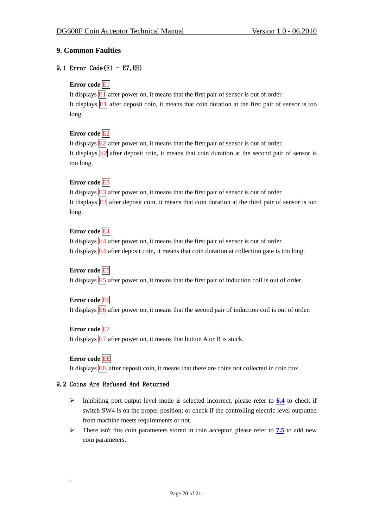# **9. Common Faulties**

# 9.1 Error  $Code(E1 - E7, EE)$

**Error code** E1

It displays  $E1$  after power on, it means that the first pair of sensor is out of order. It displays  $E1$  after deposit coin, it means that coin duration at the first pair of sensor is too long.

# **Error code** E2

It displays  $E2$  after power on, it means that the first pair of sensor is out of order. It displays  $E2$  after deposit coin, it means that coin duration at the second pair of sensor is too long.

# **Error code** E3

It displays  $E3$  after power on, it means that the first pair of sensor is out of order. It displays  $\overline{E3}$  after deposit coin, it means that coin duration at the third pair of sensor is too long.

# **Error code** E4

It displays  $E4$  after power on, it means that the first pair of sensor is out of order. It displays  $E4$  after deposit coin, it means that coin duration at collection gate is too long.

**Error code** E5

It displays E5 after power on, it means that the first pair of induction coil is out of order.

**Error code** E6

It displays  $E_6$  after power on, it means that the second pair of induction coil is out of order.

# **Error code** E7

It displays  $E7$  after power on, it means that button A or B is stuck.

# **Error code** EE

.

It displays EE after deposit coin, it means that there are coins not collected in coin box.

## 9.2 Coins Are Refused And Returned

- Inhibiting port output level mode is selected incorrect, please refer to **6.4** to check if switch SW4 is on the proper position; or check if the controlling electric level outputted from machine meets requirements or not.
- There isn't this coin parameters stored in coin acceptor, please refer to **7.5** to add new coin parameters.